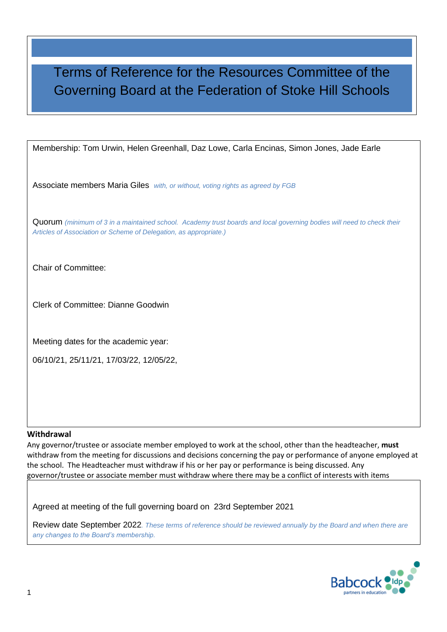# Terms of Reference for the Resources Committee of the Governing Board at the Federation of Stoke Hill Schools

Membership: Tom Urwin, Helen Greenhall, Daz Lowe, Carla Encinas, Simon Jones, Jade Earle

Associate members Maria Giles *with, or without, voting rights as agreed by FGB*

Quorum *(minimum of 3 in a maintained school. Academy trust boards and local governing bodies will need to check their Articles of Association or Scheme of Delegation, as appropriate.)*

Chair of Committee:

Clerk of Committee: Dianne Goodwin

Meeting dates for the academic year:

06/10/21, 25/11/21, 17/03/22, 12/05/22,

#### **Withdrawal**

Any governor/trustee or associate member employed to work at the school, other than the headteacher, **must** withdraw from the meeting for discussions and decisions concerning the pay or performance of anyone employed at the school. The Headteacher must withdraw if his or her pay or performance is being discussed. Any governor/trustee or associate member must withdraw where there may be a conflict of interests with items

Agreed at meeting of the full governing board on 23rd September 2021

Review date September 2022*. These terms of reference should be reviewed annually by the Board and when there are any changes to the Board's membership.*

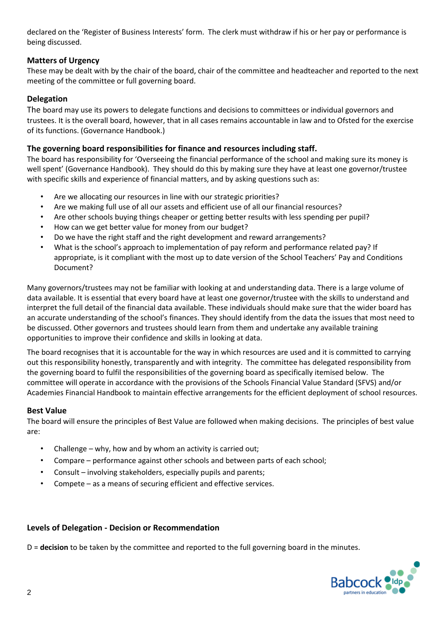declared on the 'Register of Business Interests' form. The clerk must withdraw if his or her pay or performance is being discussed.

### **Matters of Urgency**

These may be dealt with by the chair of the board, chair of the committee and headteacher and reported to the next meeting of the committee or full governing board.

### **Delegation**

The board may use its powers to delegate functions and decisions to committees or individual governors and trustees. It is the overall board, however, that in all cases remains accountable in law and to Ofsted for the exercise of its functions. (Governance Handbook.)

### **The governing board responsibilities for finance and resources including staff.**

The board has responsibility for 'Overseeing the financial performance of the school and making sure its money is well spent' (Governance Handbook). They should do this by making sure they have at least one governor/trustee with specific skills and experience of financial matters, and by asking questions such as:

- Are we allocating our resources in line with our strategic priorities?
- Are we making full use of all our assets and efficient use of all our financial resources?
- Are other schools buying things cheaper or getting better results with less spending per pupil?
- How can we get better value for money from our budget?
- Do we have the right staff and the right development and reward arrangements?
- What is the school's approach to implementation of pay reform and performance related pay? If appropriate, is it compliant with the most up to date version of the School Teachers' Pay and Conditions Document?

Many governors/trustees may not be familiar with looking at and understanding data. There is a large volume of data available. It is essential that every board have at least one governor/trustee with the skills to understand and interpret the full detail of the financial data available. These individuals should make sure that the wider board has an accurate understanding of the school's finances. They should identify from the data the issues that most need to be discussed. Other governors and trustees should learn from them and undertake any available training opportunities to improve their confidence and skills in looking at data.

The board recognises that it is accountable for the way in which resources are used and it is committed to carrying out this responsibility honestly, transparently and with integrity. The committee has delegated responsibility from the governing board to fulfil the responsibilities of the governing board as specifically itemised below. The committee will operate in accordance with the provisions of the Schools Financial Value Standard (SFVS) and/or Academies Financial Handbook to maintain effective arrangements for the efficient deployment of school resources.

### **Best Value**

The board will ensure the principles of Best Value are followed when making decisions. The principles of best value are:

- Challenge why, how and by whom an activity is carried out;
- Compare performance against other schools and between parts of each school;
- Consult involving stakeholders, especially pupils and parents;
- Compete as a means of securing efficient and effective services.

### **Levels of Delegation - Decision or Recommendation**

D = **decision** to be taken by the committee and reported to the full governing board in the minutes.

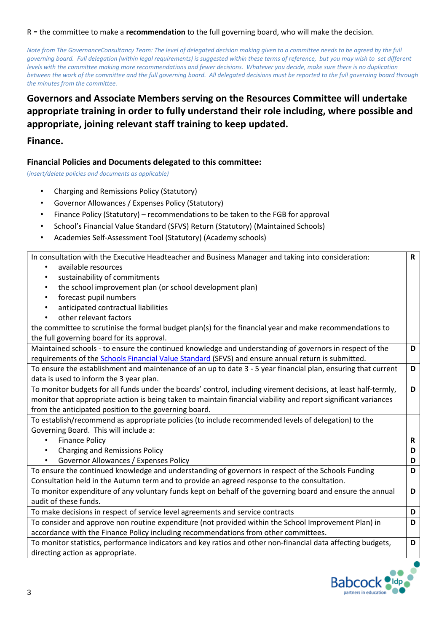#### R = the committee to make a **recommendation** to the full governing board, who will make the decision.

*Note from The GovernanceConsultancy Team: The level of delegated decision making given to a committee needs to be agreed by the full governing board. Full delegation (within legal requirements) is suggested within these terms of reference, but you may wish to set different levels with the committee making more recommendations and fewer decisions. Whatever you decide, make sure there is no duplication between the work of the committee and the full governing board. All delegated decisions must be reported to the full governing board through the minutes from the committee.*

### **Governors and Associate Members serving on the Resources Committee will undertake appropriate training in order to fully understand their role including, where possible and appropriate, joining relevant staff training to keep updated.**

### **Finance.**

### **Financial Policies and Documents delegated to this committee:**

(*insert/delete policies and documents as applicable)*

- Charging and Remissions Policy (Statutory)
- Governor Allowances / Expenses Policy (Statutory)
- Finance Policy (Statutory) recommendations to be taken to the FGB for approval
- School's Financial Value Standard (SFVS) Return (Statutory) (Maintained Schools)
- Academies Self-Assessment Tool (Statutory) (Academy schools)

| In consultation with the Executive Headteacher and Business Manager and taking into consideration:              | R |
|-----------------------------------------------------------------------------------------------------------------|---|
| available resources<br>$\bullet$                                                                                |   |
| sustainability of commitments<br>$\bullet$                                                                      |   |
| the school improvement plan (or school development plan)<br>$\bullet$                                           |   |
| forecast pupil numbers<br>$\bullet$                                                                             |   |
| anticipated contractual liabilities<br>$\bullet$                                                                |   |
| other relevant factors<br>$\bullet$                                                                             |   |
| the committee to scrutinise the formal budget plan(s) for the financial year and make recommendations to        |   |
| the full governing board for its approval.                                                                      |   |
| Maintained schools - to ensure the continued knowledge and understanding of governors in respect of the         | D |
| requirements of the <b>Schools Financial Value Standard</b> (SFVS) and ensure annual return is submitted.       |   |
| To ensure the establishment and maintenance of an up to date 3 - 5 year financial plan, ensuring that current   | D |
| data is used to inform the 3 year plan.                                                                         |   |
| To monitor budgets for all funds under the boards' control, including virement decisions, at least half-termly, | D |
| monitor that appropriate action is being taken to maintain financial viability and report significant variances |   |
| from the anticipated position to the governing board.                                                           |   |
| To establish/recommend as appropriate policies (to include recommended levels of delegation) to the             |   |
| Governing Board. This will include a:                                                                           |   |
| <b>Finance Policy</b><br>$\bullet$                                                                              | R |
| <b>Charging and Remissions Policy</b><br>$\bullet$                                                              | D |
| Governor Allowances / Expenses Policy                                                                           | D |
| To ensure the continued knowledge and understanding of governors in respect of the Schools Funding              | D |
| Consultation held in the Autumn term and to provide an agreed response to the consultation.                     |   |
| To monitor expenditure of any voluntary funds kept on behalf of the governing board and ensure the annual       | D |
| audit of these funds.                                                                                           |   |
| To make decisions in respect of service level agreements and service contracts                                  | D |
| To consider and approve non routine expenditure (not provided within the School Improvement Plan) in            | D |
| accordance with the Finance Policy including recommendations from other committees.                             |   |
| To monitor statistics, performance indicators and key ratios and other non-financial data affecting budgets,    | D |
| directing action as appropriate.                                                                                |   |

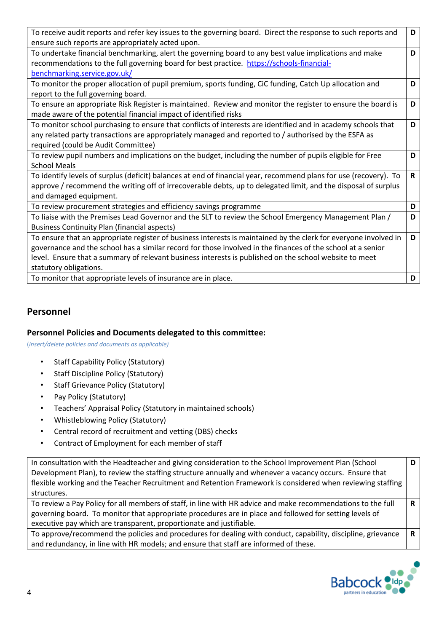| To receive audit reports and refer key issues to the governing board. Direct the response to such reports and     | D            |
|-------------------------------------------------------------------------------------------------------------------|--------------|
| ensure such reports are appropriately acted upon.                                                                 |              |
| To undertake financial benchmarking, alert the governing board to any best value implications and make            | D            |
| recommendations to the full governing board for best practice. https://schools-financial-                         |              |
| benchmarking.service.gov.uk/                                                                                      |              |
| To monitor the proper allocation of pupil premium, sports funding, CiC funding, Catch Up allocation and           | D            |
| report to the full governing board.                                                                               |              |
| To ensure an appropriate Risk Register is maintained. Review and monitor the register to ensure the board is      | D            |
| made aware of the potential financial impact of identified risks                                                  |              |
| To monitor school purchasing to ensure that conflicts of interests are identified and in academy schools that     | D            |
| any related party transactions are appropriately managed and reported to / authorised by the ESFA as              |              |
| required (could be Audit Committee)                                                                               |              |
| To review pupil numbers and implications on the budget, including the number of pupils eligible for Free          | D            |
| <b>School Meals</b>                                                                                               |              |
| To identify levels of surplus (deficit) balances at end of financial year, recommend plans for use (recovery). To | $\mathsf{R}$ |
| approve / recommend the writing off of irrecoverable debts, up to delegated limit, and the disposal of surplus    |              |
| and damaged equipment.                                                                                            |              |
| To review procurement strategies and efficiency savings programme                                                 | D            |
| To liaise with the Premises Lead Governor and the SLT to review the School Emergency Management Plan /            | D            |
| <b>Business Continuity Plan (financial aspects)</b>                                                               |              |
| To ensure that an appropriate register of business interests is maintained by the clerk for everyone involved in  | D            |
| governance and the school has a similar record for those involved in the finances of the school at a senior       |              |
| level. Ensure that a summary of relevant business interests is published on the school website to meet            |              |
| statutory obligations.                                                                                            |              |
| To monitor that appropriate levels of insurance are in place.                                                     | D            |

### **Personnel**

### **Personnel Policies and Documents delegated to this committee:**

(*insert/delete policies and documents as applicable)*

- Staff Capability Policy (Statutory)
- Staff Discipline Policy (Statutory)
- Staff Grievance Policy (Statutory)
- Pay Policy (Statutory)
- Teachers' Appraisal Policy (Statutory in maintained schools)
- Whistleblowing Policy (Statutory)
- Central record of recruitment and vetting (DBS) checks
- Contract of Employment for each member of staff

| In consultation with the Headteacher and giving consideration to the School Improvement Plan (School         | D |
|--------------------------------------------------------------------------------------------------------------|---|
| Development Plan), to review the staffing structure annually and whenever a vacancy occurs. Ensure that      |   |
| flexible working and the Teacher Recruitment and Retention Framework is considered when reviewing staffing   |   |
| structures.                                                                                                  |   |
| To review a Pay Policy for all members of staff, in line with HR advice and make recommendations to the full |   |
| governing board. To monitor that appropriate procedures are in place and followed for setting levels of      |   |
| executive pay which are transparent, proportionate and justifiable.                                          |   |
| To approve/recommend the policies and procedures for dealing with conduct, capability, discipline, grievance |   |
| and redundancy, in line with HR models; and ensure that staff are informed of these.                         |   |

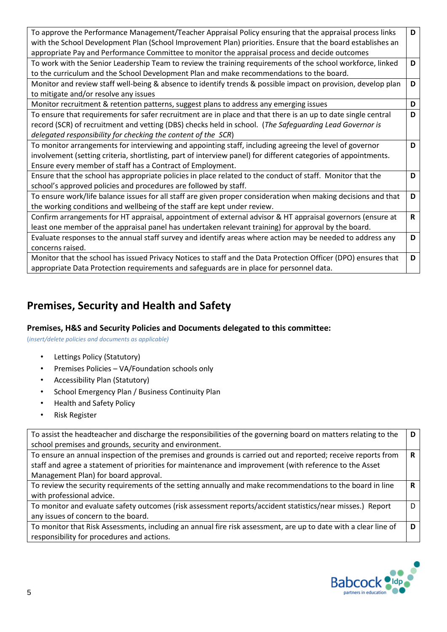| To approve the Performance Management/Teacher Appraisal Policy ensuring that the appraisal process links        | D            |
|-----------------------------------------------------------------------------------------------------------------|--------------|
| with the School Development Plan (School Improvement Plan) priorities. Ensure that the board establishes an     |              |
| appropriate Pay and Performance Committee to monitor the appraisal process and decide outcomes                  |              |
| To work with the Senior Leadership Team to review the training requirements of the school workforce, linked     | D            |
| to the curriculum and the School Development Plan and make recommendations to the board.                        |              |
| Monitor and review staff well-being & absence to identify trends & possible impact on provision, develop plan   | D            |
| to mitigate and/or resolve any issues                                                                           |              |
| Monitor recruitment & retention patterns, suggest plans to address any emerging issues                          | D            |
| To ensure that requirements for safer recruitment are in place and that there is an up to date single central   | D            |
| record (SCR) of recruitment and vetting (DBS) checks held in school. (The Safeguarding Lead Governor is         |              |
| delegated responsibility for checking the content of the SCR)                                                   |              |
| To monitor arrangements for interviewing and appointing staff, including agreeing the level of governor         | D            |
| involvement (setting criteria, shortlisting, part of interview panel) for different categories of appointments. |              |
| Ensure every member of staff has a Contract of Employment.                                                      |              |
| Ensure that the school has appropriate policies in place related to the conduct of staff. Monitor that the      | D            |
| school's approved policies and procedures are followed by staff.                                                |              |
| To ensure work/life balance issues for all staff are given proper consideration when making decisions and that  | D            |
| the working conditions and wellbeing of the staff are kept under review.                                        |              |
| Confirm arrangements for HT appraisal, appointment of external advisor & HT appraisal governors (ensure at      | $\mathsf{R}$ |
| least one member of the appraisal panel has undertaken relevant training) for approval by the board.            |              |
| Evaluate responses to the annual staff survey and identify areas where action may be needed to address any      | D            |
| concerns raised.                                                                                                |              |
| Monitor that the school has issued Privacy Notices to staff and the Data Protection Officer (DPO) ensures that  | D            |
| appropriate Data Protection requirements and safeguards are in place for personnel data.                        |              |

## **Premises, Security and Health and Safety**

### **Premises, H&S and Security Policies and Documents delegated to this committee:**

(*insert/delete policies and documents as applicable)*

- Lettings Policy (Statutory)
- Premises Policies VA/Foundation schools only
- Accessibility Plan (Statutory)
- School Emergency Plan / Business Continuity Plan
- Health and Safety Policy
- Risk Register

| To assist the headteacher and discharge the responsibilities of the governing board on matters relating to the<br>school premises and grounds, security and environment.                                               | D |
|------------------------------------------------------------------------------------------------------------------------------------------------------------------------------------------------------------------------|---|
| To ensure an annual inspection of the premises and grounds is carried out and reported; receive reports from<br>staff and agree a statement of priorities for maintenance and improvement (with reference to the Asset | R |
| Management Plan) for board approval.                                                                                                                                                                                   |   |
| To review the security requirements of the setting annually and make recommendations to the board in line                                                                                                              | R |
| with professional advice.                                                                                                                                                                                              |   |
| To monitor and evaluate safety outcomes (risk assessment reports/accident statistics/near misses.) Report                                                                                                              | D |
| any issues of concern to the board.                                                                                                                                                                                    |   |
| To monitor that Risk Assessments, including an annual fire risk assessment, are up to date with a clear line of                                                                                                        | D |
| responsibility for procedures and actions.                                                                                                                                                                             |   |